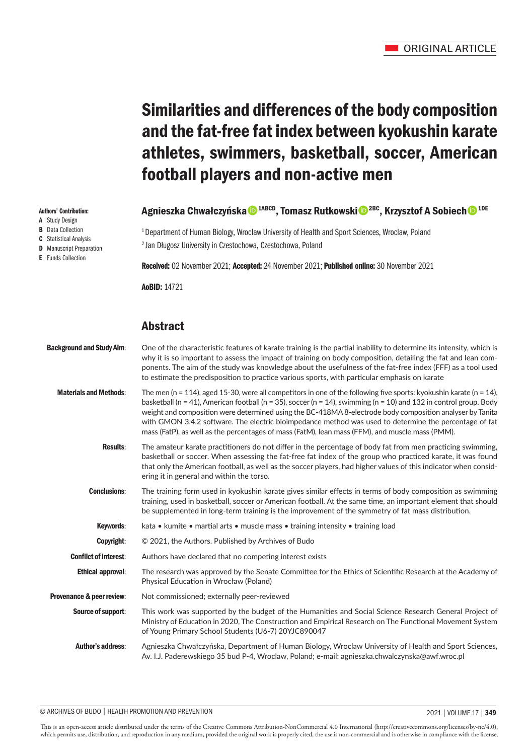# Similarities and differences of the body composition and the fat-free fat index between kyokushin karate athletes, swimmers, basketball, soccer, American football players and non-active men

## Agnieszka Chwałczyńska<sup>n 1ABCD</sup>, Tomasz Rutkowskin<sup>2BC</sup>, Krzysztof A Sobiech<sup>n 1DE</sup>

<sup>1</sup> Department of Human Biology, Wroclaw University of Health and Sport Sciences, Wroclaw, Poland 2 Jan Długosz University in Czestochowa, Czestochowa, Poland

Received: 02 November 2021; Accepted: 24 November 2021; Published online: 30 November 2021

AoBID: 14721

## Abstract

| <b>Background and Study Aim:</b> | One of the characteristic features of karate training is the partial inability to determine its intensity, which is<br>why it is so important to assess the impact of training on body composition, detailing the fat and lean com-<br>ponents. The aim of the study was knowledge about the usefulness of the fat-free index (FFF) as a tool used<br>to estimate the predisposition to practice various sports, with particular emphasis on karate                                                                                                                 |
|----------------------------------|---------------------------------------------------------------------------------------------------------------------------------------------------------------------------------------------------------------------------------------------------------------------------------------------------------------------------------------------------------------------------------------------------------------------------------------------------------------------------------------------------------------------------------------------------------------------|
| <b>Materials and Methods:</b>    | The men (n = 114), aged 15-30, were all competitors in one of the following five sports: kyokushin karate (n = 14),<br>basketball (n = 41), American football (n = 35), soccer (n = 14), swimming (n = 10) and 132 in control group. Body<br>weight and composition were determined using the BC-418MA 8-electrode body composition analyser by Tanita<br>with GMON 3.4.2 software. The electric bioimpedance method was used to determine the percentage of fat<br>mass (FatP), as well as the percentages of mass (FatM), lean mass (FFM), and muscle mass (PMM). |
| <b>Results:</b>                  | The amateur karate practitioners do not differ in the percentage of body fat from men practicing swimming,<br>basketball or soccer. When assessing the fat-free fat index of the group who practiced karate, it was found<br>that only the American football, as well as the soccer players, had higher values of this indicator when consid-<br>ering it in general and within the torso.                                                                                                                                                                          |
| <b>Conclusions:</b>              | The training form used in kyokushin karate gives similar effects in terms of body composition as swimming<br>training, used in basketball, soccer or American football. At the same time, an important element that should<br>be supplemented in long-term training is the improvement of the symmetry of fat mass distribution.                                                                                                                                                                                                                                    |
| Keywords:                        | kata • kumite • martial arts • muscle mass • training intensity • training load                                                                                                                                                                                                                                                                                                                                                                                                                                                                                     |
| Copyright:                       | © 2021, the Authors. Published by Archives of Budo                                                                                                                                                                                                                                                                                                                                                                                                                                                                                                                  |
| <b>Conflict of interest:</b>     | Authors have declared that no competing interest exists                                                                                                                                                                                                                                                                                                                                                                                                                                                                                                             |
| <b>Ethical approval:</b>         | The research was approved by the Senate Committee for the Ethics of Scientific Research at the Academy of<br>Physical Education in Wrocław (Poland)                                                                                                                                                                                                                                                                                                                                                                                                                 |
| Provenance & peer review:        | Not commissioned; externally peer-reviewed                                                                                                                                                                                                                                                                                                                                                                                                                                                                                                                          |
| Source of support:               | This work was supported by the budget of the Humanities and Social Science Research General Project of<br>Ministry of Education in 2020, The Construction and Empirical Research on The Functional Movement System<br>of Young Primary School Students (U6-7) 20YJC890047                                                                                                                                                                                                                                                                                           |
| <b>Author's address:</b>         | Agnieszka Chwałczyńska, Department of Human Biology, Wroclaw University of Health and Sport Sciences,<br>Av. I.J. Paderewskiego 35 bud P-4, Wroclaw, Poland; e-mail: agnieszka.chwalczynska@awf.wroc.pl                                                                                                                                                                                                                                                                                                                                                             |

#### © ARCHIVES OF BUDO | HEALTH PROMOTION AND PREVENTION 2021 | VOLUME 17 | **349**

This is an open-access article distributed under the terms of the Creative Commons Attribution-NonCommercial 4.0 International (http://creativecommons.org/licenses/by-nc/4.0), which permits use, distribution, and reproduction in any medium, provided the original work is properly cited, the use is non-commercial and is otherwise in compliance with the license.

#### Authors' Contribution:

- A Study Design
- **B** Data Collection
- C Statistical Analysis **D** Manuscript Preparation
- E Funds Collection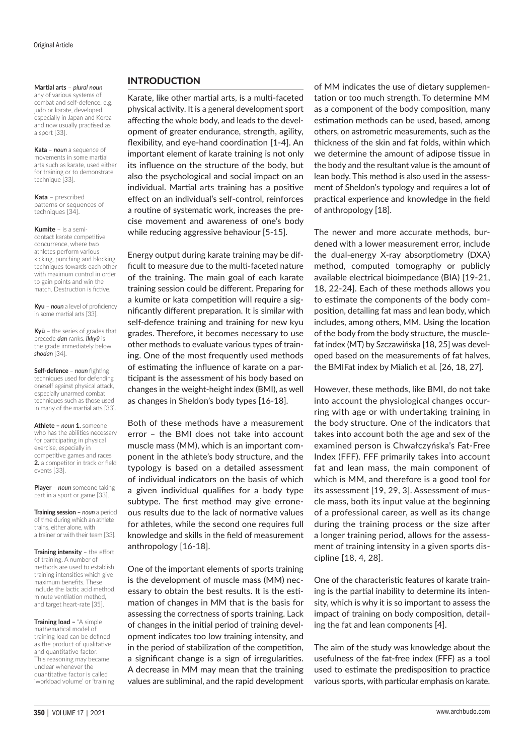#### **Martial arts** – *plural noun*

any of various systems of combat and self-defence, e.g. judo or karate, developed especially in Japan and Korea and now usually practised as a sport [33].

**Kata** – *noun* a sequence of movements in some martial arts such as karate, used either for training or to demonstrate technique [33].

**Kata** – prescribed patterns or sequences of techniques [34].

**Kumite** – is a semicontact karate competitive concurrence, where two athletes perform various kicking, punching and blocking techniques towards each other with maximum control in order to gain points and win the match. Destruction is fictive.

**Kyu** – *noun* a level of proficiency in some martial arts [33].

**Kyū** – the series of grades that precede *dan* ranks. *Ikkyū* is the grade immediately below *shodan* [34].

**Self-defence** – *noun* fighting techniques used for defending oneself against physical attack, especially unarmed combat techniques such as those used in many of the martial arts [33].

**Athlete –** *noun* **1.** someone who has the abilities necessary for participating in physical exercise, especially in competitive games and races **2.** a competitor in track or field events [33].

**Player** – *noun* someone taking part in a sport or game [33].

**Training session –** *noun* a period of time during which an athlete trains, either alone, with a trainer or with their team [33].

**Training intensity** – the effort of training. A number of methods are used to establish training intensities which give maximum benefits. These include the lactic acid method, minute ventilation method, and target heart-rate [35].

**Training load –** "A simple mathematical model of training load can be defined as the product of qualitative and quantitative factor. This reasoning may became unclear whenever the quantitative factor is called 'workload volume' or 'training

#### INTRODUCTION

Karate, like other martial arts, is a multi-faceted physical activity. It is a general development sport affecting the whole body, and leads to the development of greater endurance, strength, agility, flexibility, and eye-hand coordination [1-4]. An important element of karate training is not only its influence on the structure of the body, but also the psychological and social impact on an individual. Martial arts training has a positive effect on an individual's self-control, reinforces a routine of systematic work, increases the precise movement and awareness of one's body while reducing aggressive behaviour [5-15].

Energy output during karate training may be difficult to measure due to the multi-faceted nature of the training. The main goal of each karate training session could be different. Preparing for a kumite or kata competition will require a significantly different preparation. It is similar with self-defence training and training for new kyu grades. Therefore, it becomes necessary to use other methods to evaluate various types of training. One of the most frequently used methods of estimating the influence of karate on a participant is the assessment of his body based on changes in the weight-height index (BMI), as well as changes in Sheldon's body types [16-18].

Both of these methods have a measurement error – the BMI does not take into account muscle mass (MM), which is an important component in the athlete's body structure, and the typology is based on a detailed assessment of individual indicators on the basis of which a given individual qualifies for a body type subtype. The first method may give erroneous results due to the lack of normative values for athletes, while the second one requires full knowledge and skills in the field of measurement anthropology [16-18].

One of the important elements of sports training is the development of muscle mass (MM) necessary to obtain the best results. It is the estimation of changes in MM that is the basis for assessing the correctness of sports training. Lack of changes in the initial period of training development indicates too low training intensity, and in the period of stabilization of the competition, a significant change is a sign of irregularities. A decrease in MM may mean that the training values are subliminal, and the rapid development

of MM indicates the use of dietary supplementation or too much strength. To determine MM as a component of the body composition, many estimation methods can be used, based, among others, on astrometric measurements, such as the thickness of the skin and fat folds, within which we determine the amount of adipose tissue in the body and the resultant value is the amount of lean body. This method is also used in the assessment of Sheldon's typology and requires a lot of practical experience and knowledge in the field of anthropology [18].

The newer and more accurate methods, burdened with a lower measurement error, include the dual-energy X-ray absorptiometry (DXA) method, computed tomography or publicly available electrical bioimpedance (BIA) [19-21, 18, 22-24]. Each of these methods allows you to estimate the components of the body composition, detailing fat mass and lean body, which includes, among others, MM. Using the location of the body from the body structure, the musclefat index (MT) by Szczawińska [18, 25] was developed based on the measurements of fat halves, the BMIFat index by Mialich et al. [26, 18, 27].

However, these methods, like BMI, do not take into account the physiological changes occurring with age or with undertaking training in the body structure. One of the indicators that takes into account both the age and sex of the examined person is Chwałczyńska's Fat-Free Index (FFF). FFF primarily takes into account fat and lean mass, the main component of which is MM, and therefore is a good tool for its assessment [19, 29, 3]. Assessment of muscle mass, both its input value at the beginning of a professional career, as well as its change during the training process or the size after a longer training period, allows for the assessment of training intensity in a given sports discipline [18, 4, 28].

One of the characteristic features of karate training is the partial inability to determine its intensity, which is why it is so important to assess the impact of training on body composition, detailing the fat and lean components [4].

The aim of the study was knowledge about the usefulness of the fat-free index (FFF) as a tool used to estimate the predisposition to practice various sports, with particular emphasis on karate.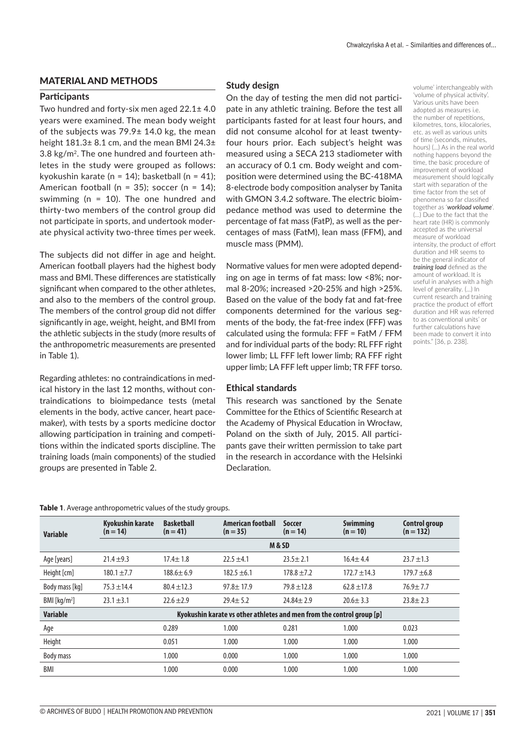#### MATERIAL AND METHODS

#### **Participants**

Two hundred and forty-six men aged 22.1± 4.0 years were examined. The mean body weight of the subjects was 79.9± 14.0 kg, the mean height 181.3± 8.1 cm, and the mean BMI 24.3± 3.8 kg/m2. The one hundred and fourteen athletes in the study were grouped as follows: kyokushin karate (n = 14); basketball (n = 41); American football (n = 35); soccer (n = 14); swimming (n = 10). The one hundred and thirty-two members of the control group did not participate in sports, and undertook moderate physical activity two-three times per week.

The subjects did not differ in age and height. American football players had the highest body mass and BMI. These differences are statistically significant when compared to the other athletes, and also to the members of the control group. The members of the control group did not differ significantly in age, weight, height, and BMI from the athletic subjects in the study (more results of the anthropometric measurements are presented in Table 1).

Regarding athletes: no contraindications in medical history in the last 12 months, without contraindications to bioimpedance tests (metal elements in the body, active cancer, heart pacemaker), with tests by a sports medicine doctor allowing participation in training and competitions within the indicated sports discipline. The training loads (main components) of the studied groups are presented in Table 2.

#### **Study design**

On the day of testing the men did not participate in any athletic training. Before the test all participants fasted for at least four hours, and did not consume alcohol for at least twentyfour hours prior. Each subject's height was measured using a SECA 213 stadiometer with an accuracy of 0.1 cm. Body weight and composition were determined using the BC-418MA 8-electrode body composition analyser by Tanita with GMON 3.4.2 software. The electric bioimpedance method was used to determine the percentage of fat mass (FatP), as well as the percentages of mass (FatM), lean mass (FFM), and muscle mass (PMM).

Normative values for men were adopted depending on age in terms of fat mass: low <8%; normal 8-20%; increased >20-25% and high >25%. Based on the value of the body fat and fat-free components determined for the various segments of the body, the fat-free index (FFF) was calculated using the formula: FFF = FatM / FFM and for individual parts of the body: RL FFF right lower limb; LL FFF left lower limb; RA FFF right upper limb; LA FFF left upper limb; TR FFF torso.

#### **Ethical standards**

This research was sanctioned by the Senate Committee for the Ethics of Scientific Research at the Academy of Physical Education in Wrocław, Poland on the sixth of July, 2015. All participants gave their written permission to take part in the research in accordance with the Helsinki **Declaration** 

volume' interchangeably with 'volume of physical activity'. Various units have been adopted as measures i.e. the number of repetitions, kilometres, tons, kilocalories, etc. as well as various units of time (seconds, minutes, hours) (…) As in the real world nothing happens beyond the time, the basic procedure of improvement of workload measurement should logically start with separation of the time factor from the set of phenomena so far classified together as '*workload volume*'. (…) Due to the fact that the heart rate (HR) is commonly accepted as the universal measure of workload intensity, the product of effort duration and HR seems to be the general indicator of *training load* defined as the amount of workload. It is useful in analyses with a high level of generality. (…) In current research and training practice the product of effort duration and HR was referred to as conventional units' or further calculations have been made to convert it into points." [36, p. 238].

| Table 1. Average anthropometric values of the study groups. |  |  |  |  |  |  |  |
|-------------------------------------------------------------|--|--|--|--|--|--|--|
|-------------------------------------------------------------|--|--|--|--|--|--|--|

| <b>Variable</b>         | <b>Kyokushin karate</b><br>$(n = 14)$                                 | <b>Basketball</b><br>$(n = 41)$ | American football<br>$(n = 35)$ | <b>Soccer</b><br>$(n = 14)$ | <b>Swimming</b><br>$(n = 10)$ | Control group<br>$(n = 132)$ |  |  |
|-------------------------|-----------------------------------------------------------------------|---------------------------------|---------------------------------|-----------------------------|-------------------------------|------------------------------|--|--|
|                         |                                                                       | M&SD                            |                                 |                             |                               |                              |  |  |
| Age [years]             | $21.4 + 9.3$                                                          | $17.4 \pm 1.8$                  | $22.5 + 4.1$                    | $23.5 \pm 2.1$              | $16.4 + 4.4$                  | $23.7 \pm 1.3$               |  |  |
| Height [cm]             | $180.1 \pm 7.7$                                                       | $188.6 \pm 6.9$                 | $182.5 \pm 6.1$                 | $178.8 + 7.2$               | $172.7 \pm 14.3$              | $179.7 + 6.8$                |  |  |
| Body mass [kg]          | $75.3 \pm 14.4$                                                       | $80.4 \pm 12.3$                 | $97.8 \pm 17.9$                 | $79.8 \pm 12.8$             | $62.8 \pm 17.8$               | $76.9 + 7.7$                 |  |  |
| BM [kg/m <sup>2</sup> ] | $23.1 \pm 3.1$                                                        | $22.6 + 2.9$                    | $29.4 \pm 5.2$                  | $24.84 \pm 2.9$             | $20.6 \pm 3.3$                | $23.8 \pm 2.3$               |  |  |
| <b>Variable</b>         | Kyokushin karate vs other athletes and men from the control group [p] |                                 |                                 |                             |                               |                              |  |  |
| Age                     |                                                                       | 0.289                           | 1.000                           | 0.281                       | 1.000                         | 0.023                        |  |  |
| Height                  |                                                                       | 0.051                           | 1.000                           | 1.000                       | 1.000                         | 1.000                        |  |  |
| Body mass               |                                                                       | 1.000                           | 0.000                           | 1.000                       | 1.000                         | 1.000                        |  |  |
| BMI                     |                                                                       | 1.000                           | 0.000                           | 1.000                       | 1.000                         | 1.000                        |  |  |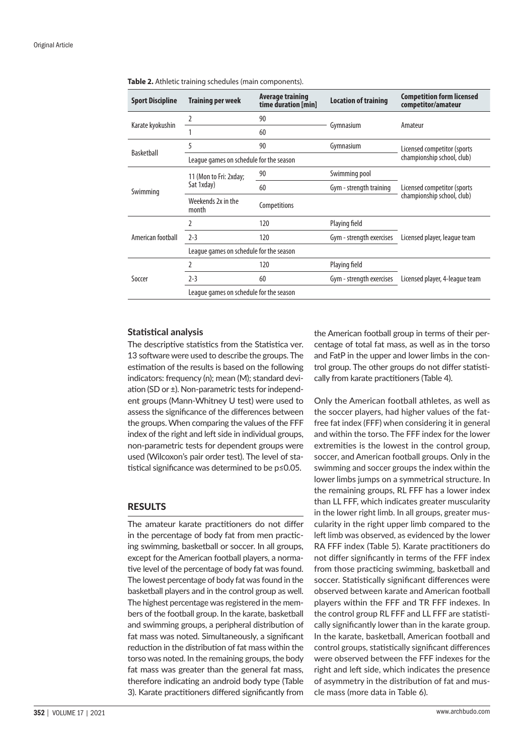| Table 2. Athletic training schedules (main components). |                                         |                                         |                             |                                                        |  |  |  |
|---------------------------------------------------------|-----------------------------------------|-----------------------------------------|-----------------------------|--------------------------------------------------------|--|--|--|
| <b>Sport Discipline</b>                                 | <b>Training per week</b>                | Average training<br>time duration [min] | <b>Location of training</b> | <b>Competition form licensed</b><br>competitor/amateur |  |  |  |
|                                                         |                                         | 90                                      |                             | Amateur                                                |  |  |  |
| Karate kyokushin                                        |                                         | 60                                      | Gymnasium                   |                                                        |  |  |  |
|                                                         | 5                                       | 90                                      | Gymnasium                   | Licensed competitor (sports                            |  |  |  |
| Basketball                                              | League games on schedule for the season | championship school, club)              |                             |                                                        |  |  |  |
| Swimming                                                | 11 (Mon to Fri: 2xday;                  | 90                                      | Swimming pool               |                                                        |  |  |  |
|                                                         | Sat 1xday)                              | 60                                      | Gym - strength training     | Licensed competitor (sports                            |  |  |  |
|                                                         | Weekends 2x in the<br>month             | Competitions                            |                             | championship school, club)                             |  |  |  |
|                                                         |                                         | 120                                     | Playing field               |                                                        |  |  |  |
| American football                                       | $2 - 3$                                 | 120                                     | Gym - strength exercises    | Licensed player, league team                           |  |  |  |

2 120 Playing field

2-3 60 Gym - strength exercises Licensed player, 4-league team

**Table 2.** Athletic training schedules (main components).

#### **Statistical analysis**

Soccer

The descriptive statistics from the Statistica ver. 13 software were used to describe the groups. The estimation of the results is based on the following indicators: frequency (n); mean (M); standard deviation (SD or ±). Non-parametric tests for independent groups (Mann-Whitney U test) were used to assess the significance of the differences between the groups. When comparing the values of the FFF index of the right and left side in individual groups, non-parametric tests for dependent groups were used (Wilcoxon's pair order test). The level of statistical significance was determined to be p≤0.05.

League games on schedule for the season

League games on schedule for the season

### RESULTS

The amateur karate practitioners do not differ in the percentage of body fat from men practicing swimming, basketball or soccer. In all groups, except for the American football players, a normative level of the percentage of body fat was found. The lowest percentage of body fat was found in the basketball players and in the control group as well. The highest percentage was registered in the members of the football group. In the karate, basketball and swimming groups, a peripheral distribution of fat mass was noted. Simultaneously, a significant reduction in the distribution of fat mass within the torso was noted. In the remaining groups, the body fat mass was greater than the general fat mass, therefore indicating an android body type (Table 3). Karate practitioners differed significantly from the American football group in terms of their percentage of total fat mass, as well as in the torso and FatP in the upper and lower limbs in the control group. The other groups do not differ statistically from karate practitioners (Table 4).

Only the American football athletes, as well as the soccer players, had higher values of the fatfree fat index (FFF) when considering it in general and within the torso. The FFF index for the lower extremities is the lowest in the control group, soccer, and American football groups. Only in the swimming and soccer groups the index within the lower limbs jumps on a symmetrical structure. In the remaining groups, RL FFF has a lower index than LL FFF, which indicates greater muscularity in the lower right limb. In all groups, greater muscularity in the right upper limb compared to the left limb was observed, as evidenced by the lower RA FFF index (Table 5). Karate practitioners do not differ significantly in terms of the FFF index from those practicing swimming, basketball and soccer. Statistically significant differences were observed between karate and American football players within the FFF and TR FFF indexes. In the control group RL FFF and LL FFF are statistically significantly lower than in the karate group. In the karate, basketball, American football and control groups, statistically significant differences were observed between the FFF indexes for the right and left side, which indicates the presence of asymmetry in the distribution of fat and muscle mass (more data in Table 6).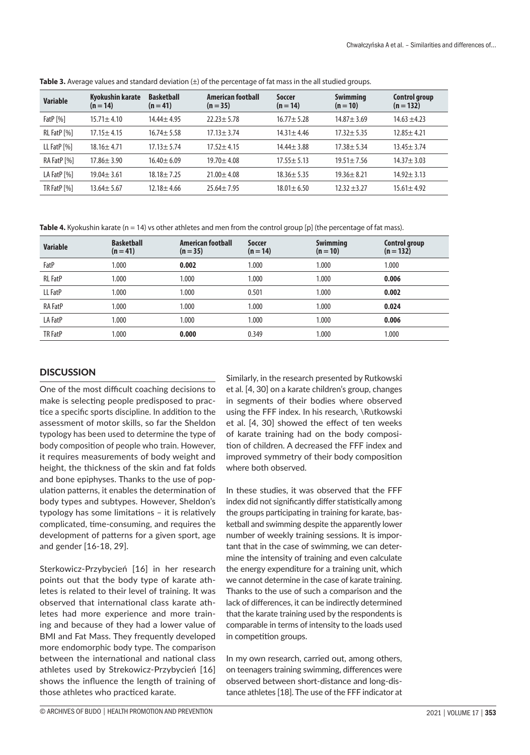| <b>Variable</b> | Kyokushin karate<br>$(n = 14)$ | <b>Basketball</b><br>$(n = 41)$ | <b>American football</b><br>$(n = 35)$ | <b>Soccer</b><br>$(n = 14)$ | <b>Swimming</b><br>$(n = 10)$ | Control group<br>$(n = 132)$ |
|-----------------|--------------------------------|---------------------------------|----------------------------------------|-----------------------------|-------------------------------|------------------------------|
| Fat $P$ [%]     | $15.71 \pm 4.10$               | $14.44 \pm 4.95$                | $22.23 + 5.78$                         | $16.77 \pm 5.28$            | $14.87 + 3.69$                | $14.63 \pm 4.23$             |
| RL FatP [%]     | $17.15 \pm 4.15$               | $16.74 \pm 5.58$                | $17.13 \pm 3.74$                       | $14.31 \pm 4.46$            | $17.32 + 5.35$                | $12.85 \pm 4.21$             |
| LL FatP [%]     | $18.16 \pm 4.71$               | $17.13 \pm 5.74$                | $17.52 \pm 4.15$                       | $14.44 \pm 3.88$            | $17.38 + 5.34$                | $13.45 \pm 3.74$             |
| RA FatP [%]     | $17.86 \pm 3.90$               | $16.40 \pm 6.09$                | $19.70 + 4.08$                         | $17.55 \pm 5.13$            | $19.51 \pm 7.56$              | $14.37 \pm 3.03$             |
| LA FatP [%]     | $19.04 \pm 3.61$               | $18.18 \pm 7.25$                | $21.00 + 4.08$                         | $18.36 \pm 5.35$            | $19.36 + 8.21$                | $14.92 \pm 3.13$             |
| TR FatP [%]     | $13.64 \pm 5.67$               | $12.18 \pm 4.66$                | $25.64 \pm 7.95$                       | $18.01 \pm 6.50$            | $12.32 + 3.27$                | $15.61 \pm 4.92$             |

**Table 3.** Average values and standard deviation ( $\pm$ ) of the percentage of fat mass in the all studied groups.

Table 4. Kyokushin karate (n = 14) vs other athletes and men from the control group [p] (the percentage of fat mass).

| <b>Variable</b> | <b>Basketball</b><br>$(n = 41)$ | <b>American football</b><br>$(n = 35)$ | Soccer<br>$(n = 14)$ | <b>Swimming</b><br>$(n = 10)$ | <b>Control group</b><br>$(n = 132)$ |
|-----------------|---------------------------------|----------------------------------------|----------------------|-------------------------------|-------------------------------------|
| FatP            | 1.000                           | 0.002                                  | 1.000                | 1.000                         | 1.000                               |
| <b>RL</b> FatP  | 1.000                           | 1.000                                  | 1.000                | 1.000                         | 0.006                               |
| LL FatP         | 1.000                           | 1.000                                  | 0.501                | 1.000                         | 0.002                               |
| <b>RA FatP</b>  | 1.000                           | 1.000                                  | 1.000                | 1.000                         | 0.024                               |
| LA FatP         | 1.000                           | 1.000                                  | 1.000                | 1.000                         | 0.006                               |
| TR FatP         | 1.000                           | 0.000                                  | 0.349                | 1.000                         | 1.000                               |

## **DISCUSSION**

One of the most difficult coaching decisions to make is selecting people predisposed to practice a specific sports discipline. In addition to the assessment of motor skills, so far the Sheldon typology has been used to determine the type of body composition of people who train. However, it requires measurements of body weight and height, the thickness of the skin and fat folds and bone epiphyses. Thanks to the use of population patterns, it enables the determination of body types and subtypes. However, Sheldon's typology has some limitations – it is relatively complicated, time-consuming, and requires the development of patterns for a given sport, age and gender [16-18, 29].

Sterkowicz-Przybycień [16] in her research points out that the body type of karate athletes is related to their level of training. It was observed that international class karate athletes had more experience and more training and because of they had a lower value of BMI and Fat Mass. They frequently developed more endomorphic body type. The comparison between the international and national class athletes used by Strekowicz-Przybycień [16] shows the influence the length of training of those athletes who practiced karate.

Similarly, in the research presented by Rutkowski et al. [4, 30] on a karate children's group, changes in segments of their bodies where observed using the FFF index. In his research, \Rutkowski et al. [4, 30] showed the effect of ten weeks of karate training had on the body composition of children. A decreased the FFF index and improved symmetry of their body composition where both observed.

In these studies, it was observed that the FFF index did not significantly differ statistically among the groups participating in training for karate, basketball and swimming despite the apparently lower number of weekly training sessions. It is important that in the case of swimming, we can determine the intensity of training and even calculate the energy expenditure for a training unit, which we cannot determine in the case of karate training. Thanks to the use of such a comparison and the lack of differences, it can be indirectly determined that the karate training used by the respondents is comparable in terms of intensity to the loads used in competition groups.

In my own research, carried out, among others, on teenagers training swimming, differences were observed between short-distance and long-distance athletes [18]. The use of the FFF indicator at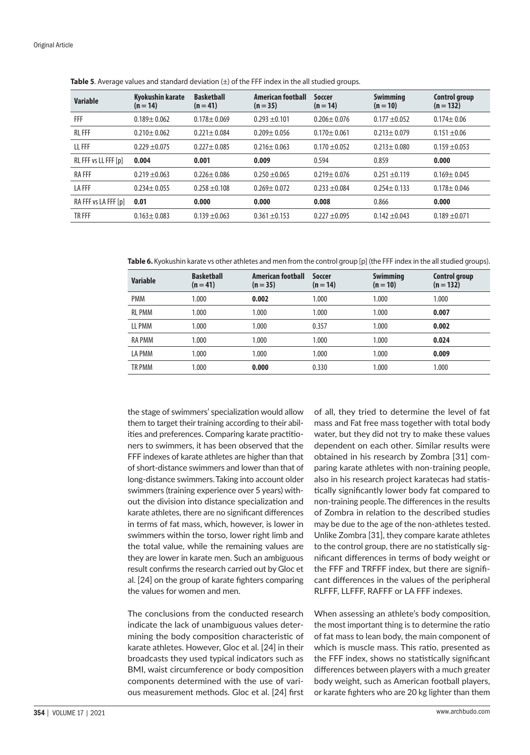| <b>Variable</b>      | Kyokushin karate<br>$(n = 14)$ | <b>Basketball</b><br>$(n = 41)$ | American football<br>$(n = 35)$ | <b>Soccer</b><br>$(n = 14)$ | <b>Swimming</b><br>$(n = 10)$ | Control group<br>$(n = 132)$ |
|----------------------|--------------------------------|---------------------------------|---------------------------------|-----------------------------|-------------------------------|------------------------------|
| FFF                  | $0.189 + 0.062$                | $0.178 + 0.069$                 | $0.293 + 0.101$                 | $0.206 \pm 0.076$           | $0.177 + 0.052$               | $0.174 \pm 0.06$             |
| <b>RLFFF</b>         | $0.210 \pm 0.062$              | $0.221 \pm 0.084$               | $0.209 + 0.056$                 | $0.170 + 0.061$             | $0.213 \pm 0.079$             | $0.151 + 0.06$               |
| LL FFF               | $0.229 + 0.075$                | $0.227 \pm 0.085$               | $0.216 + 0.063$                 | $0.170 + 0.052$             | $0.213 \pm 0.080$             | $0.159 + 0.053$              |
| RL FFF vs LL FFF [p] | 0.004                          | 0.001                           | 0.009                           | 0.594                       | 0.859                         | 0.000                        |
| <b>RAFFF</b>         | $0.219 \pm 0.063$              | $0.226 \pm 0.086$               | $0.250 + 0.065$                 | $0.219 \pm 0.076$           | $0.251 + 0.119$               | $0.169 + 0.045$              |
| <b>LAFFF</b>         | $0.234 \pm 0.055$              | $0.258 + 0.108$                 | $0.269 + 0.072$                 | $0.233 + 0.084$             | $0.254 \pm 0.133$             | $0.178 + 0.046$              |
| RA FFF vs LA FFF [p] | 0.01                           | 0.000                           | 0.000                           | 0.008                       | 0.866                         | 0.000                        |
| TR FFF               | $0.163 \pm 0.083$              | $0.139 + 0.063$                 | $0.361 + 0.153$                 | $0.227 + 0.095$             | $0.142 \pm 0.043$             | $0.189 + 0.071$              |

**Table 5**. Average values and standard deviation (±) of the FFF index in the all studied groups.

**Table 6.** Kyokushin karate vs other athletes and men from the control group [p] (the FFF index in the all studied groups).

| <b>Variable</b> | <b>Basketball</b><br>$(n = 41)$ | <b>American football</b><br>$(n = 35)$ | Soccer<br>$(n = 14)$ | <b>Swimming</b><br>$(n = 10)$ | <b>Control group</b><br>$(n = 132)$ |
|-----------------|---------------------------------|----------------------------------------|----------------------|-------------------------------|-------------------------------------|
| <b>PMM</b>      | 1.000                           | 0.002                                  | 1.000                | 1.000                         | 1.000                               |
| <b>RL PMM</b>   | 1.000                           | 1.000                                  | 1.000                | 1.000                         | 0.007                               |
| LL PMM          | 1.000                           | 1.000                                  | 0.357                | 1.000                         | 0.002                               |
| <b>RA PMM</b>   | 1.000                           | 1.000                                  | 1.000                | 1.000                         | 0.024                               |
| LA PMM          | 1.000                           | 1.000                                  | 1.000                | 1.000                         | 0.009                               |
| TR PMM          | 1.000                           | 0.000                                  | 0.330                | 1.000                         | 1.000                               |

the stage of swimmers' specialization would allow them to target their training according to their abilities and preferences. Comparing karate practitioners to swimmers, it has been observed that the FFF indexes of karate athletes are higher than that of short-distance swimmers and lower than that of long-distance swimmers.Taking into account older swimmers (training experience over 5 years) without the division into distance specialization and karate athletes, there are no significant differences in terms of fat mass, which, however, is lower in swimmers within the torso, lower right limb and the total value, while the remaining values are they are lower in karate men. Such an ambiguous result confirms the research carried out by Gloc et al. [24] on the group of karate fighters comparing the values for women and men.

The conclusions from the conducted research indicate the lack of unambiguous values determining the body composition characteristic of karate athletes. However, Gloc et al. [24] in their broadcasts they used typical indicators such as BMI, waist circumference or body composition components determined with the use of various measurement methods. Gloc et al. [24] first

of all, they tried to determine the level of fat mass and Fat free mass together with total body water, but they did not try to make these values dependent on each other. Similar results were obtained in his research by Zombra [31] comparing karate athletes with non-training people, also in his research project karatecas had statistically significantly lower body fat compared to non-training people.The differences in the results of Zombra in relation to the described studies may be due to the age of the non-athletes tested. Unlike Zombra [31], they compare karate athletes to the control group, there are no statistically significant differences in terms of body weight or the FFF and TRFFF index, but there are significant differences in the values of the peripheral RLFFF, LLFFF, RAFFF or LA FFF indexes.

When assessing an athlete's body composition, the most important thing is to determine the ratio of fat mass to lean body, the main component of which is muscle mass. This ratio, presented as the FFF index, shows no statistically significant differences between players with a much greater body weight, such as American football players, or karate fighters who are 20 kg lighter than them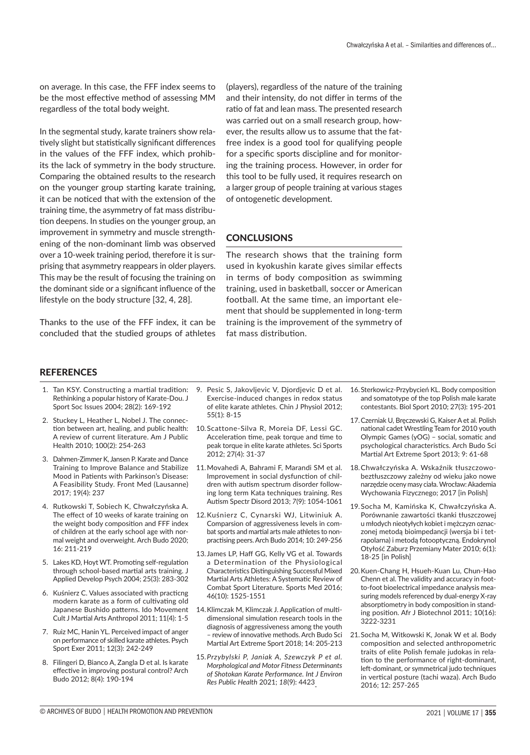on average. In this case, the FFF index seems to be the most effective method of assessing MM regardless of the total body weight.

In the segmental study, karate trainers show relatively slight but statistically significant differences in the values of the FFF index, which prohibits the lack of symmetry in the body structure. Comparing the obtained results to the research on the younger group starting karate training, it can be noticed that with the extension of the training time, the asymmetry of fat mass distribution deepens. In studies on the younger group, an improvement in symmetry and muscle strengthening of the non-dominant limb was observed over a 10-week training period, therefore it is surprising that asymmetry reappears in older players. This may be the result of focusing the training on the dominant side or a significant influence of the lifestyle on the body structure [32, 4, 28].

Thanks to the use of the FFF index, it can be concluded that the studied groups of athletes (players), regardless of the nature of the training and their intensity, do not differ in terms of the ratio of fat and lean mass. The presented research was carried out on a small research group, however, the results allow us to assume that the fatfree index is a good tool for qualifying people for a specific sports discipline and for monitoring the training process. However, in order for this tool to be fully used, it requires research on a larger group of people training at various stages of ontogenetic development.

### **CONCLUSIONS**

The research shows that the training form used in kyokushin karate gives similar effects in terms of body composition as swimming training, used in basketball, soccer or American football. At the same time, an important element that should be supplemented in long-term training is the improvement of the symmetry of fat mass distribution.

#### **REFERENCES**

- 1. Tan KSY. Constructing a martial tradition: Rethinking a popular history of Karate-Dou. J Sport Soc Issues 2004; 28(2): 169-192
- 2. Stuckey L, Heather L, Nobel J. The connection between art, healing, and public health: A review of current literature. Am J Public Health 2010; 100(2): 254-263
- 3. Dahmen-Zimmer K, Jansen P. Karate and Dance Training to Improve Balance and Stabilize Mood in Patients with Parkinson's Disease: A Feasibility Study. Front Med (Lausanne) 2017; 19(4): 237
- 4. Rutkowski T, Sobiech K, Chwałczyńska A. The effect of 10 weeks of karate training on the weight body composition and FFF index of children at the early school age with normal weight and overweight. Arch Budo 2020; 16: 211-219
- 5. Lakes KD, Hoyt WT. Promoting self-regulation through school-based martial arts training. J Applied Develop Psych 2004; 25(3): 283-302
- 6. Kuśnierz C. Values associated with practicng modern karate as a form of cultivating old Japanese Bushido patterns. Ido Movement Cult J Martial Arts Anthropol 2011; 11(4): 1-5
- 7. Ruiz MC, Hanin YL. Perceived impact of anger on performance of skilled karate athletes. Psych Sport Exer 2011; 12(3): 242-249
- 8. Filingeri D, Bianco A, Zangla D et al. Is karate effective in improving postural control? Arch Budo 2012; 8(4): 190-194
- 9. Pesic S, [Jakovljevic](https://pubmed.ncbi.nlm.nih.gov/?term=Jakovljevic+V&cauthor_id=22242949) V, [Djordjevic](https://pubmed.ncbi.nlm.nih.gov/?term=Djordjevic+D&cauthor_id=22242949) D et al. Exercise-induced changes in redox status of elite karate athletes. Chin J Physiol 2012; 55(1): 8-15
- 10.Scattone-Silva R, Moreia DF, Lessi GC. Acceleration time, peak torque and time to peak torque in elite karate athletes. Sci Sports 2012; 27(4): 31-37
- 11.Movahedi A, Bahrami F, Marandi SM et al. Improvement in social dysfunction of children with autism spectrum disorder following long term Kata techniques training. Res Autism Spectr Disord 2013; *7*(9): 1054-1061
- 12.Kuśnierz C, Cynarski WJ, Litwiniuk A. Comparsion of aggressiveness levels in combat sports and martial arts male athletes to nonpractising peers. Arch Budo 2014; 10: 249-256
- 13. James LP, Haff GG, Kelly VG et al. Towards a Determination of the Physiological Characteristics Distinguishing Successful Mixed Martial Arts Athletes: A Systematic Review of Combat Sport Literature. Sports Med 2016; 46(10): 1525-1551
- 14.Klimczak M, Klimczak J. Application of multidimensional simulation research tools in the diagnosis of aggressiveness among the youth – review of innovative methods. Arch Budo Sci Martial Art Extreme Sport 2018; 14: 205-213
- 15.*Przybylski P, Janiak A, Szewczyk P et al. Morphological and Motor Fitness Determinants of Shotokan Karate Performance. Int J Environ Res Public Health* 2021; *18*(9): 4423
- 16.Sterkowicz-Przybycień KL. Body composition and somatotype of the top Polish male karate contestants. Biol Sport 2010; 27(3): 195-201
- 17.Czerniak U, Bręczewski G, Kaiser A et al. Polish national cadet Wrestling Team for 2010 youth Olympic Games (yOG) – social, somatic and psychological characteristics. Arch Budo Sci Martial Art Extreme Sport 2013; 9: 61-68
- 18.Chwałczyńska A. Wskaźnik tłuszczowobeztłuszczowy zależny od wieku jako nowe narzędzie oceny masy ciała. Wrocław: Akademia Wychowania Fizycznego; 2017 [in Polish]
- 19.Socha M, Kamińska K, Chwałczyńska A. Porównanie zawartości tkanki tłuszczowej u młodych nieotyłych kobiet i mężczyzn oznaczonej metodą bioimpedancji (wersja bi i tetrapolarna) i metodą fotooptyczną. Endokrynol Otyłość Zaburz Przemiany Mater 2010; 6(1): 18-25 [in Polish]
- 20.Kuen-Chang H, Hsueh-Kuan Lu, Chun-Hao Chenn et al. The validity and accuracy in footto-foot bioelectrical impedance analysis measuring models referenced by dual-energy X-ray absorptiometry in body composition in standing position. Afr J Biotechnol 2011; 10(16): 3222-3231
- 21.Socha M, Witkowski K, Jonak W et al. Body composition and selected anthropometric traits of elite Polish female judokas in relation to the performance of right-dominant, left-dominant, or symmetrical judo techniques in vertical posture (tachi waza). Arch Budo 2016; 12: 257-265